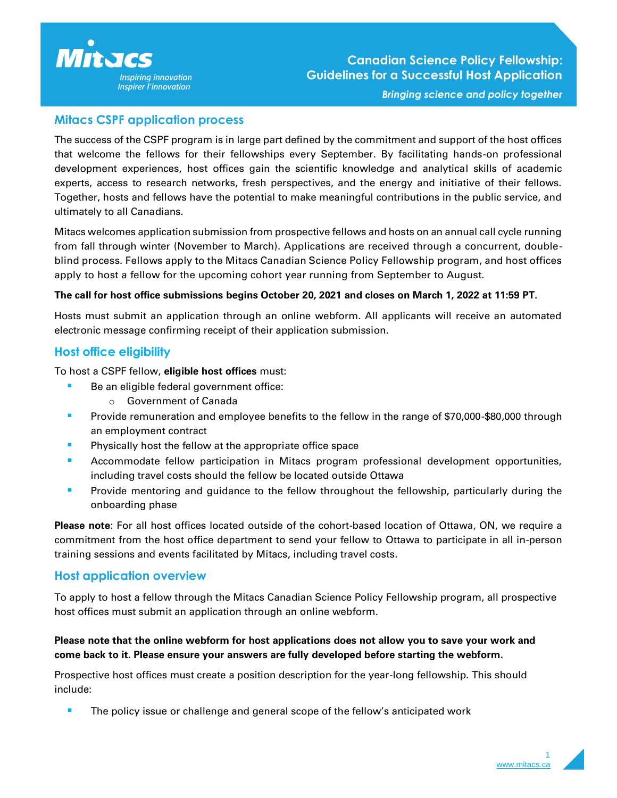

## **Mitacs CSPF application process**

The success of the CSPF program is in large part defined by the commitment and support of the host offices that welcome the fellows for their fellowships every September. By facilitating hands-on professional development experiences, host offices gain the scientific knowledge and analytical skills of academic experts, access to research networks, fresh perspectives, and the energy and initiative of their fellows. Together, hosts and fellows have the potential to make meaningful contributions in the public service, and ultimately to all Canadians.

Mitacs welcomes application submission from prospective fellows and hosts on an annual call cycle running from fall through winter (November to March). Applications are received through a concurrent, doubleblind process. Fellows apply to the Mitacs Canadian Science Policy Fellowship program, and host offices apply to host a fellow for the upcoming cohort year running from September to August.

#### **The call for host office submissions begins October 20, 2021 and closes on March 1, 2022 at 11:59 PT.**

Hosts must submit an application through an online webform. All applicants will receive an automated electronic message confirming receipt of their application submission.

## **Host office eligibility**

To host a CSPF fellow, **eligible host offices** must:

- Be an eligible federal government office:
	- o Government of Canada
- Provide remuneration and employee benefits to the fellow in the range of \$70,000-\$80,000 through an employment contract
- **EXECUTE:** Physically host the fellow at the appropriate office space
- Accommodate fellow participation in Mitacs program professional development opportunities, including travel costs should the fellow be located outside Ottawa
- **•** Provide mentoring and guidance to the fellow throughout the fellowship, particularly during the onboarding phase

**Please note**: For all host offices located outside of the cohort-based location of Ottawa, ON, we require a commitment from the host office department to send your fellow to Ottawa to participate in all in-person training sessions and events facilitated by Mitacs, including travel costs.

### **Host application overview**

To apply to host a fellow through the Mitacs Canadian Science Policy Fellowship program, all prospective host offices must submit an application through an online webform.

### **Please note that the online webform for host applications does not allow you to save your work and come back to it. Please ensure your answers are fully developed before starting the webform.**

Prospective host offices must create a position description for the year-long fellowship. This should include:

**The policy issue or challenge and general scope of the fellow's anticipated work** 

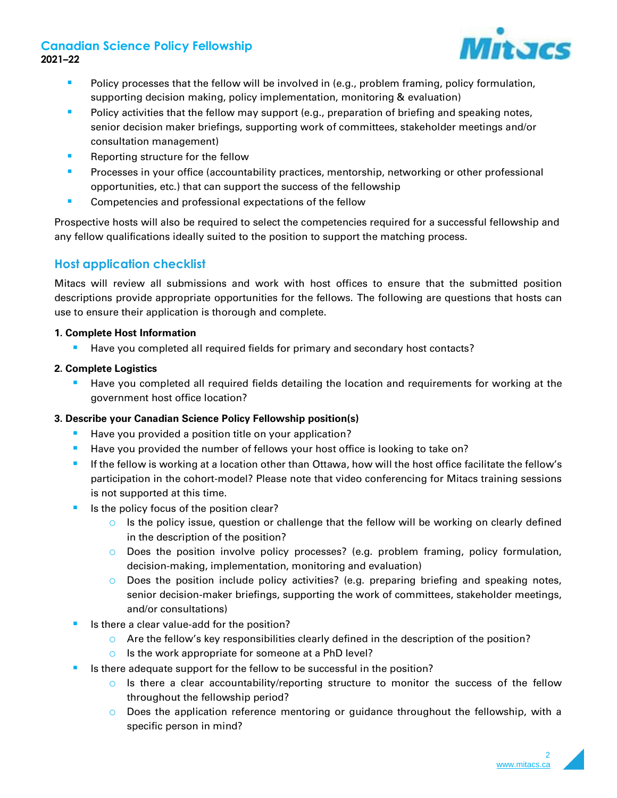# **Canadian Science Policy Fellowship 2021–22**



- **•** Policy processes that the fellow will be involved in (e.g., problem framing, policy formulation, supporting decision making, policy implementation, monitoring & evaluation)
- **Policy activities that the fellow may support (e.g., preparation of briefing and speaking notes,** senior decision maker briefings, supporting work of committees, stakeholder meetings and/or consultation management)
- Reporting structure for the fellow
- **Processes in your office (accountability practices, mentorship, networking or other professional** opportunities, etc.) that can support the success of the fellowship
- Competencies and professional expectations of the fellow

Prospective hosts will also be required to select the competencies required for a successful fellowship and any fellow qualifications ideally suited to the position to support the matching process.

# **Host application checklist**

Mitacs will review all submissions and work with host offices to ensure that the submitted position descriptions provide appropriate opportunities for the fellows. The following are questions that hosts can use to ensure their application is thorough and complete.

#### **1. Complete Host Information**

■ Have you completed all required fields for primary and secondary host contacts?

#### **2. Complete Logistics**

Have you completed all required fields detailing the location and requirements for working at the government host office location?

#### **3. Describe your Canadian Science Policy Fellowship position(s)**

- Have you provided a position title on your application?
- Have you provided the number of fellows your host office is looking to take on?
- If the fellow is working at a location other than Ottawa, how will the host office facilitate the fellow's participation in the cohort-model? Please note that video conferencing for Mitacs training sessions is not supported at this time.
- Is the policy focus of the position clear?
	- $\circ$  Is the policy issue, question or challenge that the fellow will be working on clearly defined in the description of the position?
	- o Does the position involve policy processes? (e.g. problem framing, policy formulation, decision-making, implementation, monitoring and evaluation)
	- o Does the position include policy activities? (e.g. preparing briefing and speaking notes, senior decision-maker briefings, supporting the work of committees, stakeholder meetings, and/or consultations)
- Is there a clear value-add for the position?
	- $\circ$  Are the fellow's key responsibilities clearly defined in the description of the position?
	- o Is the work appropriate for someone at a PhD level?
- Is there adequate support for the fellow to be successful in the position?
	- $\circ$  Is there a clear accountability/reporting structure to monitor the success of the fellow throughout the fellowship period?
	- $\circ$  Does the application reference mentoring or guidance throughout the fellowship, with a specific person in mind?